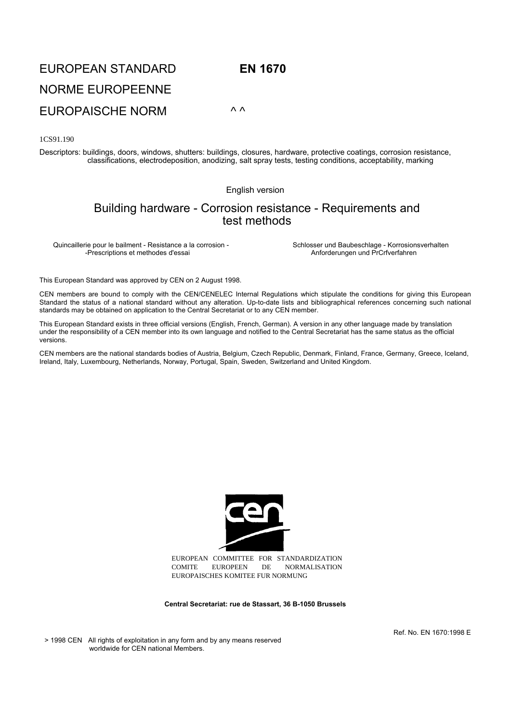## EUROPEAN STANDARD **EN 1670** NORME EUROPEENNE EUROPAISCHE NORM *^ ^*

1CS91.190

Descriptors: buildings, doors, windows, shutters: buildings, closures, hardware, protective coatings, corrosion resistance, classifications, electrodeposition, anodizing, salt spray tests, testing conditions, acceptability, marking

English version

## Building hardware - Corrosion resistance - Requirements and test methods

Quincaillerie pour le bailment - Resistance a la corrosion - Schlosser und Baubeschlage - Korrosionsverhalten<br>Prescriptions et methodes d'essai<br>Anforderungen und PrCrfverfahren

Anforderungen und PrCrfverfahren

This European Standard was approved by CEN on 2 August 1998.

CEN members are bound to comply with the CEN/CENELEC Internal Regulations which stipulate the conditions for giving this European Standard the status of a national standard without any alteration. Up-to-date lists and bibliographical references concerning such national standards may be obtained on application to the Central Secretariat or to any CEN member.

This European Standard exists in three official versions (English, French, German). A version in any other language made by translation under the responsibility of a CEN member into its own language and notified to the Central Secretariat has the same status as the official versions.

CEN members are the national standards bodies of Austria, Belgium, Czech Republic, Denmark, Finland, France, Germany, Greece, Iceland, Ireland, Italy, Luxembourg, Netherlands, Norway, Portugal, Spain, Sweden, Switzerland and United Kingdom.



EUROPEAN COMMITTEE FOR STANDARDIZATION COMITE EUROPEEN DE NORMALISATION EUROPAISCHES KOMITEE FUR NORMUNG

**Central Secretariat: rue de Stassart, 36 B-1050 Brussels**

Ref. No. EN 1670:1998 E

> 1998 CEN All rights of exploitation in any form and by any means reserved worldwide for CEN national Members.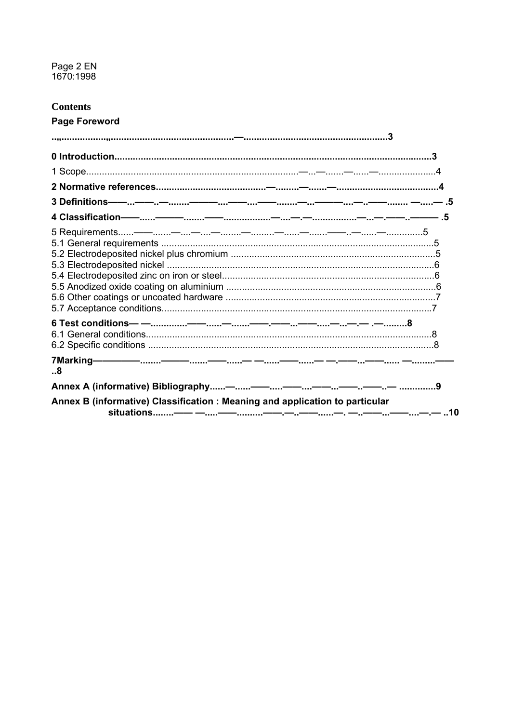# Page 2 EN<br>1670:1998

## **Contents**

### **Page Foreword**

| 3 Definitions——…——…—……———……——……——…———……—…——……… —……— .5                       |  |
|------------------------------------------------------------------------------|--|
| 4 Classification——……———………——……………—…———…………—…—————…5                          |  |
| 5 Requirements——……—…—……—………—………—………——…—…—……—……………5                           |  |
|                                                                              |  |
|                                                                              |  |
|                                                                              |  |
|                                                                              |  |
|                                                                              |  |
|                                                                              |  |
|                                                                              |  |
|                                                                              |  |
|                                                                              |  |
|                                                                              |  |
| 8                                                                            |  |
|                                                                              |  |
| Annex B (informative) Classification : Meaning and application to particular |  |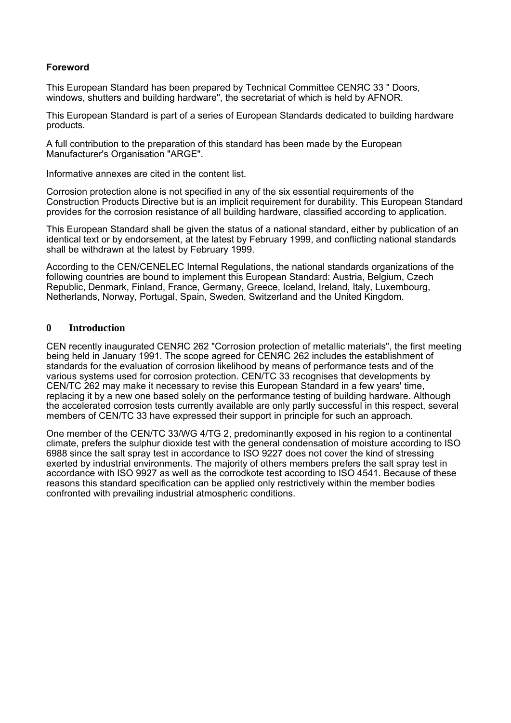#### **Foreword**

This European Standard has been prepared by Technical Committee CENЯC 33 " Doors, windows, shutters and building hardware", the secretariat of which is held by AFNOR.

This European Standard is part of a series of European Standards dedicated to building hardware products.

A full contribution to the preparation of this standard has been made by the European Manufacturer's Organisation "ARGE".

Informative annexes are cited in the content list.

Corrosion protection alone is not specified in any of the six essential requirements of the Construction Products Directive but is an implicit requirement for durability. This European Standard provides for the corrosion resistance of all building hardware, classified according to application.

This European Standard shall be given the status of a national standard, either by publication of an identical text or by endorsement, at the latest by February 1999, and conflicting national standards shall be withdrawn at the latest by February 1999.

According to the CEN/CENELEC Internal Regulations, the national standards organizations of the following countries are bound to implement this European Standard: Austria, Belgium, Czech Republic, Denmark, Finland, France, Germany, Greece, Iceland, Ireland, Italy, Luxembourg, Netherlands, Norway, Portugal, Spain, Sweden, Switzerland and the United Kingdom.

#### **0 Introduction**

CEN recently inaugurated CENЯC 262 "Corrosion protection of metallic materials", the first meeting being held in January 1991. The scope agreed for CENЯC 262 includes the establishment of standards for the evaluation of corrosion likelihood by means of performance tests and of the various systems used for corrosion protection. CEN/TC 33 recognises that developments by CEN/TC 262 may make it necessary to revise this European Standard in a few years' time, replacing it by a new one based solely on the performance testing of building hardware. Although the accelerated corrosion tests currently available are only partly successful in this respect, several members of CEN/TC 33 have expressed their support in principle for such an approach.

One member of the CEN/TC 33/WG 4/TG 2, predominantly exposed in his region to a continental climate, prefers the sulphur dioxide test with the general condensation of moisture according to ISO 6988 since the salt spray test in accordance to ISO 9227 does not cover the kind of stressing exerted by industrial environments. The majority of others members prefers the salt spray test in accordance with ISO 9927 as well as the corrodkote test according to ISO 4541. Because of these reasons this standard specification can be applied only restrictively within the member bodies confronted with prevailing industrial atmospheric conditions.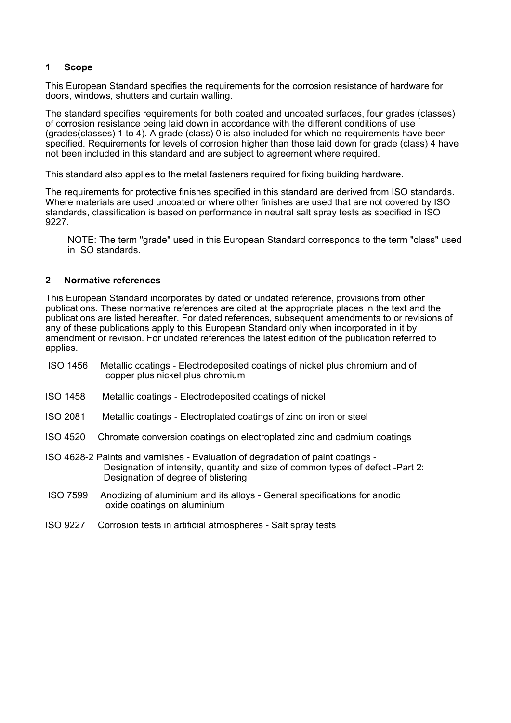#### **1 Scope**

This European Standard specifies the requirements for the corrosion resistance of hardware for doors, windows, shutters and curtain walling.

The standard specifies requirements for both coated and uncoated surfaces, four grades (classes) of corrosion resistance being laid down in accordance with the different conditions of use (grades(classes) 1 to 4). A grade (class) 0 is also included for which no requirements have been specified. Requirements for levels of corrosion higher than those laid down for grade (class) 4 have not been included in this standard and are subject to agreement where required.

This standard also applies to the metal fasteners required for fixing building hardware.

The requirements for protective finishes specified in this standard are derived from ISO standards. Where materials are used uncoated or where other finishes are used that are not covered by ISO standards, classification is based on performance in neutral salt spray tests as specified in ISO 9227.

NOTE: The term "grade" used in this European Standard corresponds to the term "class" used in ISO standards.

#### **2 Normative references**

This European Standard incorporates by dated or undated reference, provisions from other publications. These normative references are cited at the appropriate places in the text and the publications are listed hereafter. For dated references, subsequent amendments to or revisions of any of these publications apply to this European Standard only when incorporated in it by amendment or revision. For undated references the latest edition of the publication referred to applies.

- ISO 1456 Metallic coatings Electrodeposited coatings of nickel plus chromium and of copper plus nickel plus chromium
- ISO 1458 Metallic coatings Electrodeposited coatings of nickel
- ISO 2081 Metallic coatings Electroplated coatings of zinc on iron or steel
- ISO 4520 Chromate conversion coatings on electroplated zinc and cadmium coatings
- ISO 4628-2 Paints and varnishes Evaluation of degradation of paint coatings Designation of intensity, quantity and size of common types of defect -Part 2: Designation of degree of blistering
- ISO 7599 Anodizing of aluminium and its alloys General specifications for anodic oxide coatings on aluminium
- ISO 9227 Corrosion tests in artificial atmospheres Salt spray tests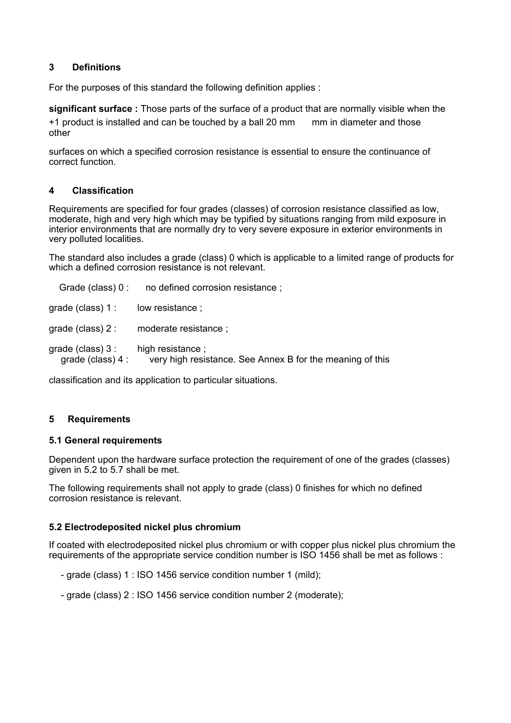#### **3 Definitions**

For the purposes of this standard the following definition applies :

**significant surface :** Those parts of the surface of a product that are normally visible when the +1 product is installed and can be touched by a ball 20 mm mm in diameter and those other

surfaces on which a specified corrosion resistance is essential to ensure the continuance of correct function.

#### **4 Classification**

Requirements are specified for four grades (classes) of corrosion resistance classified as low, moderate, high and very high which may be typified by situations ranging from mild exposure in interior environments that are normally dry to very severe exposure in exterior environments in very polluted localities.

The standard also includes a grade (class) 0 which is applicable to a limited range of products for which a defined corrosion resistance is not relevant.

| Grade (class) 0 :                        | no defined corrosion resistance;                                              |
|------------------------------------------|-------------------------------------------------------------------------------|
| grade (class) $1:$                       | low resistance;                                                               |
| grade (class) $2:$                       | moderate resistance;                                                          |
| grade (class) $3:$<br>grade (class) $4:$ | high resistance;<br>very high resistance. See Annex B for the meaning of this |

classification and its application to particular situations.

#### **5 Requirements**

#### **5.1 General requirements**

Dependent upon the hardware surface protection the requirement of one of the grades (classes) given in 5.2 to 5.7 shall be met.

The following requirements shall not apply to grade (class) 0 finishes for which no defined corrosion resistance is relevant.

#### **5.2 Electrodeposited nickel plus chromium**

If coated with electrodeposited nickel plus chromium or with copper plus nickel plus chromium the requirements of the appropriate service condition number is ISO 1456 shall be met as follows :

- grade (class) 1 : ISO 1456 service condition number 1 (mild);
- grade (class) 2 : ISO 1456 service condition number 2 (moderate);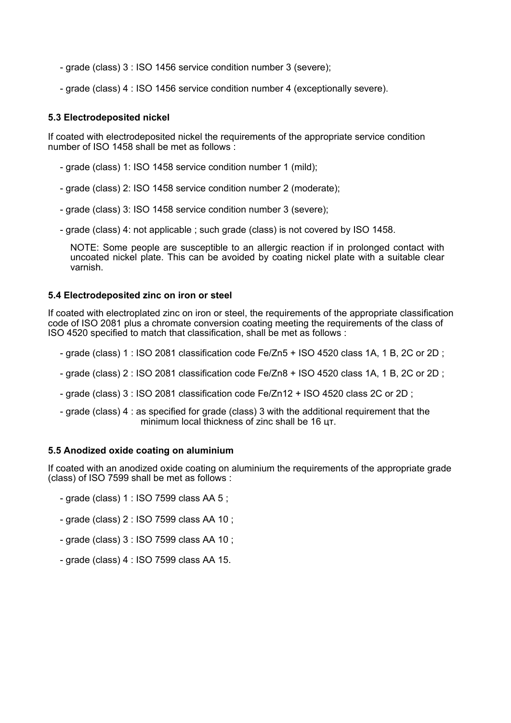- grade (class) 3 : ISO 1456 service condition number 3 (severe);
- grade (class) 4 : ISO 1456 service condition number 4 (exceptionally severe).

#### **5.3 Electrodeposited nickel**

If coated with electrodeposited nickel the requirements of the appropriate service condition number of ISO 1458 shall be met as follows :

- grade (class) 1: ISO 1458 service condition number 1 (mild);
- grade (class) 2: ISO 1458 service condition number 2 (moderate);
- grade (class) 3: ISO 1458 service condition number 3 (severe);
- grade (class) 4: not applicable ; such grade (class) is not covered by ISO 1458.

NOTE: Some people are susceptible to an allergic reaction if in prolonged contact with uncoated nickel plate. This can be avoided by coating nickel plate with a suitable clear varnish.

#### **5.4 Electrodeposited zinc on iron or steel**

If coated with electroplated zinc on iron or steel, the requirements of the appropriate classification code of ISO 2081 plus a chromate conversion coating meeting the requirements of the class of ISO 4520 specified to match that classification, shall be met as follows :

- grade (class) 1 : ISO 2081 classification code Fe/Zn5 + ISO 4520 class 1A, 1 В, 2С or 2D ;
- grade (class) 2 : ISO 2081 classification code Fe/Zn8 + ISO 4520 class 1A, 1 В, 2С or 2D ;
- grade (class) 3 : ISO 2081 classification code Fe/Zn12 + ISO 4520 class 2C or 2D ;
- grade (class) 4 : as specified for grade (class) 3 with the additional requirement that the minimum local thickness of zinc shall be 16 цт.

#### **5.5 Anodized oxide coating on aluminium**

If coated with an anodized oxide coating on aluminium the requirements of the appropriate grade (class) of ISO 7599 shall be met as follows :

- grade (class) 1 : ISO 7599 class AA 5 ;
- grade (class) 2 : ISO 7599 class AA 10 ;
- grade (class) 3 : ISO 7599 class AA 10 ;
- grade (class) 4 : ISO 7599 class AA 15.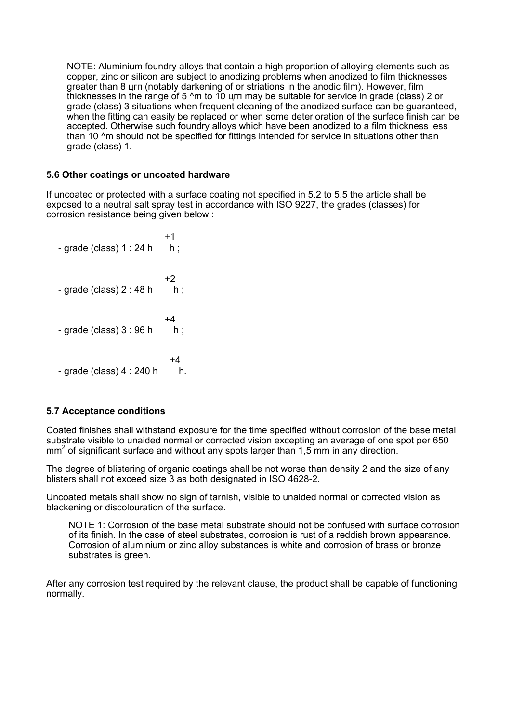NOTE: Aluminium foundry alloys that contain a high proportion of alloying elements such as copper, zinc or silicon are subject to anodizing problems when anodized to film thicknesses greater than 8 цгп (notably darkening of or striations in the anodic film). However, film thicknesses in the range of 5 ^m to 10 цгп may be suitable for service in grade (class) 2 or grade (class) 3 situations when frequent cleaning of the anodized surface can be guaranteed, when the fitting can easily be replaced or when some deterioration of the surface finish can be accepted. Otherwise such foundry alloys which have been anodized to a film thickness less than 10 <sup>^</sup>m should not be specified for fittings intended for service in situations other than grade (class) 1.

#### **5.6 Other coatings or uncoated hardware**

If uncoated or protected with a surface coating not specified in 5.2 to 5.5 the article shall be exposed to a neutral salt spray test in accordance with ISO 9227, the grades (classes) for corrosion resistance being given below :

 $+1$  $-$  grade (class)  $1:24$  h h; +2  $-$  grade (class)  $2:48$  h h;  $+4$  $-$  grade (class)  $3:96 h$  h;  $+4$  $-$  grade (class)  $4:240 h$  h.

#### **5.7 Acceptance conditions**

Coated finishes shall withstand exposure for the time specified without corrosion of the base metal substrate visible to unaided normal or corrected vision excepting an average of one spot per 650  $mm<sup>2</sup>$  of significant surface and without any spots larger than 1,5 mm in any direction.

The degree of blistering of organic coatings shall be not worse than density 2 and the size of any blisters shall not exceed size 3 as both designated in ISO 4628-2.

Uncoated metals shall show no sign of tarnish, visible to unaided normal or corrected vision as blackening or discolouration of the surface.

NOTE 1: Corrosion of the base metal substrate should not be confused with surface corrosion of its finish. In the case of steel substrates, corrosion is rust of a reddish brown appearance. Corrosion of aluminium or zinc alloy substances is white and corrosion of brass or bronze substrates is green.

After any corrosion test required by the relevant clause, the product shall be capable of functioning normally.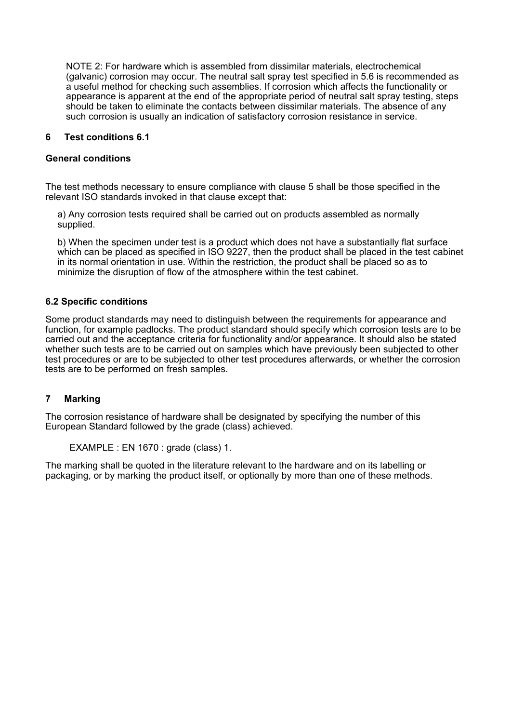NOTE 2: For hardware which is assembled from dissimilar materials, electrochemical (galvanic) corrosion may occur. The neutral salt spray test specified in 5.6 is recommended as a useful method for checking such assemblies. If corrosion which affects the functionality or appearance is apparent at the end of the appropriate period of neutral salt spray testing, steps should be taken to eliminate the contacts between dissimilar materials. The absence of any such corrosion is usually an indication of satisfactory corrosion resistance in service.

#### **6 Test conditions 6.1**

#### **General conditions**

The test methods necessary to ensure compliance with clause 5 shall be those specified in the relevant ISO standards invoked in that clause except that:

a) Any corrosion tests required shall be carried out on products assembled as normally supplied.

b) When the specimen under test is a product which does not have a substantially flat surface which can be placed as specified in ISO 9227, then the product shall be placed in the test cabinet in its normal orientation in use. Within the restriction, the product shall be placed so as to minimize the disruption of flow of the atmosphere within the test cabinet.

#### **6.2 Specific conditions**

Some product standards may need to distinguish between the requirements for appearance and function, for example padlocks. The product standard should specify which corrosion tests are to be carried out and the acceptance criteria for functionality and/or appearance. It should also be stated whether such tests are to be carried out on samples which have previously been subjected to other test procedures or are to be subjected to other test procedures afterwards, or whether the corrosion tests are to be performed on fresh samples.

#### **7 Marking**

The corrosion resistance of hardware shall be designated by specifying the number of this European Standard followed by the grade (class) achieved.

```
EXAMPLE : EN 1670 : grade (class) 1.
```
The marking shall be quoted in the literature relevant to the hardware and on its labelling or packaging, or by marking the product itself, or optionally by more than one of these methods.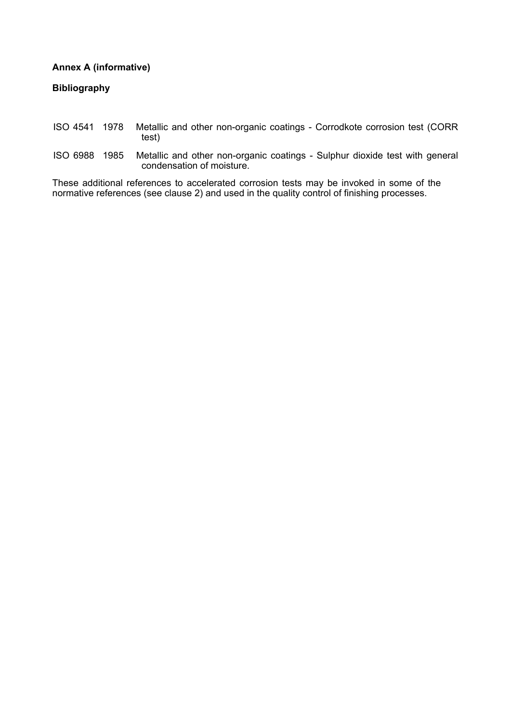#### **Annex A (informative)**

**Bibliography**

#### ISO 4541 1978 Metallic and other non-organic coatings - Corrodkote corrosion test (CORR test)

ISO 6988 1985 Metallic and other non-organic coatings - Sulphur dioxide test with general condensation of moisture.

These additional references to accelerated corrosion tests may be invoked in some of the normative references (see clause 2) and used in the quality control of finishing processes.